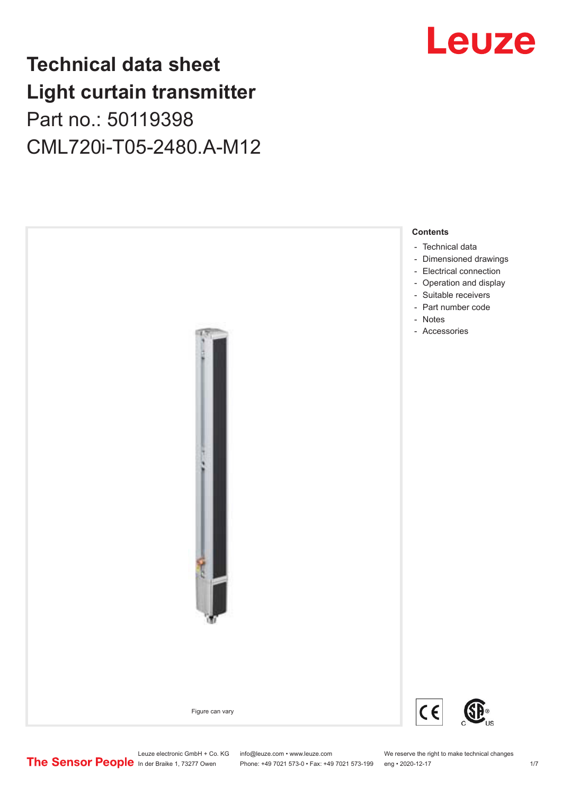## **Technical data sheet Light curtain transmitter** Part no.: 50119398 CML720i-T05-2480.A-M12



## Leuze

Phone: +49 7021 573-0 • Fax: +49 7021 573-199 eng • 2020-12-17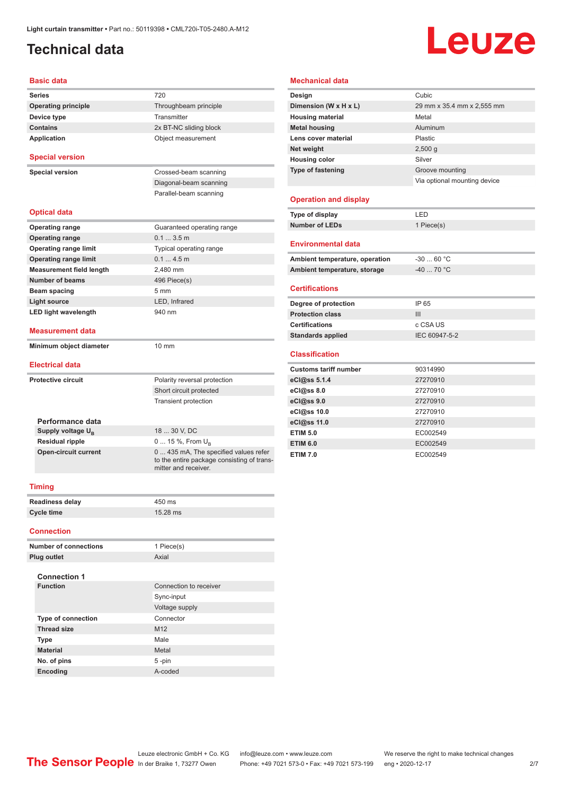## <span id="page-1-0"></span>**Technical data**

# Leuze

#### **Basic data**

| <b>Series</b>                   | 720                                                                                                         |
|---------------------------------|-------------------------------------------------------------------------------------------------------------|
| <b>Operating principle</b>      | Throughbeam principle                                                                                       |
| Device type                     | Transmitter                                                                                                 |
| <b>Contains</b>                 | 2x BT-NC sliding block                                                                                      |
| <b>Application</b>              | Object measurement                                                                                          |
| <b>Special version</b>          |                                                                                                             |
| <b>Special version</b>          | Crossed-beam scanning                                                                                       |
|                                 | Diagonal-beam scanning                                                                                      |
|                                 | Parallel-beam scanning                                                                                      |
|                                 |                                                                                                             |
| <b>Optical data</b>             |                                                                                                             |
| <b>Operating range</b>          | Guaranteed operating range                                                                                  |
| <b>Operating range</b>          | 0.13.5m                                                                                                     |
| <b>Operating range limit</b>    | Typical operating range                                                                                     |
| <b>Operating range limit</b>    | 0.14.5m                                                                                                     |
| <b>Measurement field length</b> | 2,480 mm                                                                                                    |
| <b>Number of beams</b>          | 496 Piece(s)                                                                                                |
| Beam spacing                    | 5 <sub>mm</sub>                                                                                             |
| Light source                    | LED. Infrared                                                                                               |
| <b>LED light wavelength</b>     | 940 nm                                                                                                      |
| <b>Measurement data</b>         |                                                                                                             |
| Minimum object diameter         | $10 \text{ mm}$                                                                                             |
|                                 |                                                                                                             |
| <b>Electrical data</b>          |                                                                                                             |
| <b>Protective circuit</b>       | Polarity reversal protection                                                                                |
|                                 | Short circuit protected                                                                                     |
|                                 | <b>Transient protection</b>                                                                                 |
| Performance data                |                                                                                                             |
| Supply voltage U <sub>B</sub>   | 18  30 V, DC                                                                                                |
| <b>Residual ripple</b>          | 0  15 %, From U <sub>p</sub>                                                                                |
| <b>Open-circuit current</b>     | 0  435 mA, The specified values refer<br>to the entire package consisting of trans-<br>mitter and receiver. |
| <b>Timing</b>                   |                                                                                                             |
| <b>Readiness delay</b>          | 450 ms                                                                                                      |
|                                 |                                                                                                             |

#### **Mechanical data**

| Design                         | Cubic                        |
|--------------------------------|------------------------------|
| Dimension (W x H x L)          | 29 mm x 35.4 mm x 2,555 mm   |
| <b>Housing material</b>        | Metal                        |
| <b>Metal housing</b>           | Aluminum                     |
| Lens cover material            | Plastic                      |
| Net weight                     | 2,500q                       |
| <b>Housing color</b>           | Silver                       |
| <b>Type of fastening</b>       | Groove mounting              |
|                                | Via optional mounting device |
|                                |                              |
| <b>Operation and display</b>   |                              |
| Type of display                | LED                          |
| <b>Number of LEDs</b>          | 1 Piece(s)                   |
| <b>Environmental data</b>      |                              |
| Ambient temperature, operation | $-3060 °C$                   |
| Ambient temperature, storage   | $-40$ 70 °C                  |

#### **Certifications**

| Degree of protection     | IP 65         |
|--------------------------|---------------|
| <b>Protection class</b>  | Ш             |
| <b>Certifications</b>    | c CSA US      |
| <b>Standards applied</b> | IEC 60947-5-2 |
|                          |               |

#### **Classification**

| <b>Customs tariff number</b> | 90314990 |
|------------------------------|----------|
| eCl@ss 5.1.4                 | 27270910 |
| eCl@ss 8.0                   | 27270910 |
| eCl@ss 9.0                   | 27270910 |
| eCl@ss 10.0                  | 27270910 |
| eCl@ss 11.0                  | 27270910 |
| <b>ETIM 5.0</b>              | EC002549 |
| <b>ETIM 6.0</b>              | EC002549 |
| <b>ETIM 7.0</b>              | EC002549 |

| <b>Readiness delay</b> | 450 ms   |
|------------------------|----------|
| Cycle time             | 15.28 ms |

#### **Connection**

| <b>Number of connections</b> | 1 Piece(s)             |  |
|------------------------------|------------------------|--|
| Plug outlet                  | Axial                  |  |
| <b>Connection 1</b>          |                        |  |
| <b>Function</b>              | Connection to receiver |  |
|                              | Sync-input             |  |
|                              | Voltage supply         |  |
| <b>Type of connection</b>    | Connector              |  |
| <b>Thread size</b>           | M <sub>12</sub>        |  |
| <b>Type</b>                  | Male                   |  |
| <b>Material</b>              | Metal                  |  |
| No. of pins                  | 5-pin                  |  |
| <b>Encoding</b>              | A-coded                |  |
|                              |                        |  |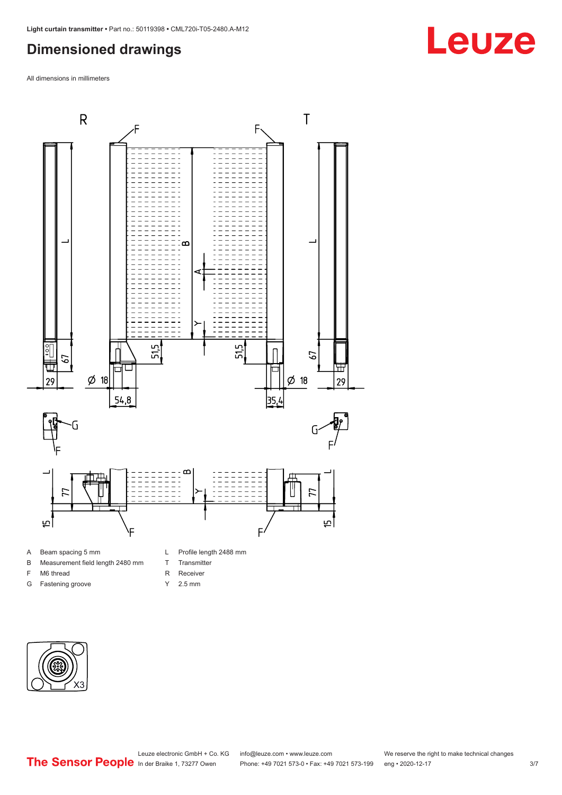### <span id="page-2-0"></span>**Dimensioned drawings**

All dimensions in millimeters



#### A Beam spacing 5 mm

- B Measurement field length 2480 mm
- F M6 thread
- G Fastening groove
- L Profile length 2488 mm
- T Transmitter
- R Receiver
- Y 2.5 mm



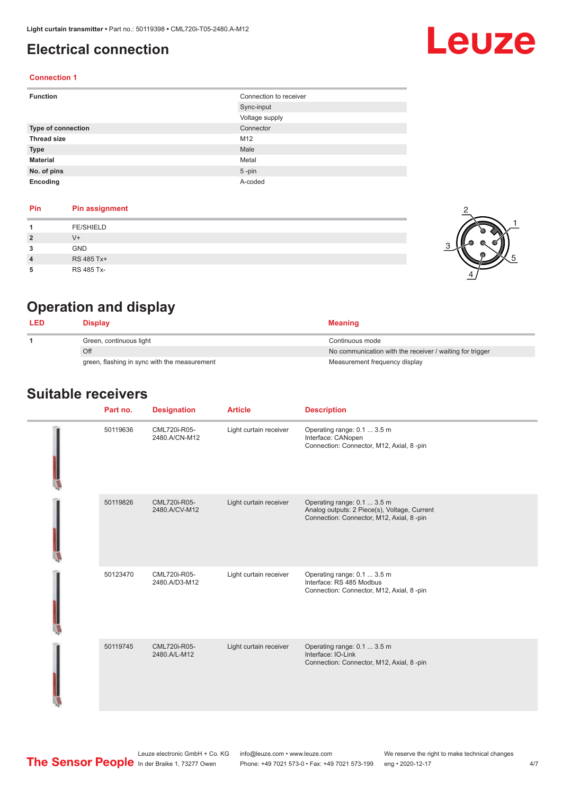### <span id="page-3-0"></span>**Electrical connection**

## Leuze

2

1

5

#### **Connection 1**

| <b>Function</b>    | Connection to receiver |
|--------------------|------------------------|
|                    | Sync-input             |
|                    | Voltage supply         |
| Type of connection | Connector              |
| <b>Thread size</b> | M12                    |
| <b>Type</b>        | Male                   |
| <b>Material</b>    | Metal                  |
| No. of pins        | $5$ -pin               |
| Encoding           | A-coded                |

#### **Pin Pin assignment**

|                | FE/SHIELD  |     |
|----------------|------------|-----|
| $\overline{2}$ | $V +$      | -64 |
| 3              | GND        |     |
| $\overline{4}$ | RS 485 Tx+ |     |
| 5              | RS 485 Tx- |     |

### **Operation and display**

| <b>LED</b> | Display                                      | <b>Meaning</b>                                           |
|------------|----------------------------------------------|----------------------------------------------------------|
|            | Green, continuous light                      | Continuous mode                                          |
|            | Off                                          | No communication with the receiver / waiting for trigger |
|            | green, flashing in sync with the measurement | Measurement frequency display                            |

#### **Suitable receivers**

| Part no. | <b>Designation</b>            | <b>Article</b>         | <b>Description</b>                                                                                                       |
|----------|-------------------------------|------------------------|--------------------------------------------------------------------------------------------------------------------------|
| 50119636 | CML720i-R05-<br>2480.A/CN-M12 | Light curtain receiver | Operating range: 0.1  3.5 m<br>Interface: CANopen<br>Connection: Connector, M12, Axial, 8 -pin                           |
| 50119826 | CML720i-R05-<br>2480.A/CV-M12 | Light curtain receiver | Operating range: 0.1  3.5 m<br>Analog outputs: 2 Piece(s), Voltage, Current<br>Connection: Connector, M12, Axial, 8 -pin |
| 50123470 | CML720i-R05-<br>2480.A/D3-M12 | Light curtain receiver | Operating range: 0.1  3.5 m<br>Interface: RS 485 Modbus<br>Connection: Connector, M12, Axial, 8 -pin                     |
| 50119745 | CML720i-R05-<br>2480.A/L-M12  | Light curtain receiver | Operating range: 0.1  3.5 m<br>Interface: IO-Link<br>Connection: Connector, M12, Axial, 8 -pin                           |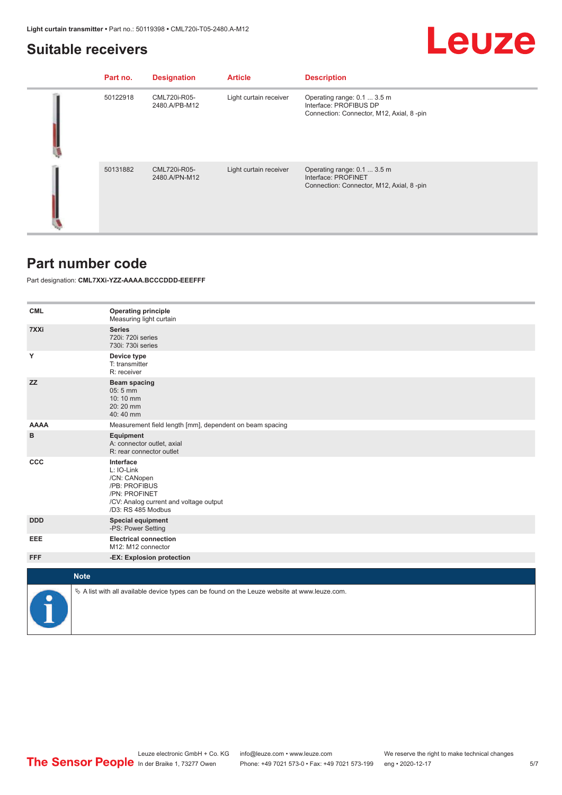#### <span id="page-4-0"></span>**Suitable receivers**

## Leuze

| Part no. | <b>Designation</b>            | <b>Article</b>         | <b>Description</b>                                                                                |
|----------|-------------------------------|------------------------|---------------------------------------------------------------------------------------------------|
| 50122918 | CML720i-R05-<br>2480.A/PB-M12 | Light curtain receiver | Operating range: 0.1  3.5 m<br>Interface: PROFIBUS DP<br>Connection: Connector, M12, Axial, 8-pin |
| 50131882 | CML720i-R05-<br>2480.A/PN-M12 | Light curtain receiver | Operating range: 0.1  3.5 m<br>Interface: PROFINET<br>Connection: Connector, M12, Axial, 8-pin    |

#### **Part number code**

Part designation: **CML7XXi-YZZ-AAAA.BCCCDDD-EEEFFF**

| <b>CML</b>  | <b>Operating principle</b><br>Measuring light curtain                                                                                     |
|-------------|-------------------------------------------------------------------------------------------------------------------------------------------|
| 7XXi        | <b>Series</b><br>720i: 720i series<br>730i: 730i series                                                                                   |
| Y           | Device type<br>T: transmitter<br>R: receiver                                                                                              |
| <b>ZZ</b>   | <b>Beam spacing</b><br>05:5 mm<br>10:10 mm<br>$20:20$ mm<br>40:40 mm                                                                      |
| <b>AAAA</b> | Measurement field length [mm], dependent on beam spacing                                                                                  |
| в           | Equipment<br>A: connector outlet, axial<br>R: rear connector outlet                                                                       |
| <b>CCC</b>  | Interface<br>L: IO-Link<br>/CN: CANopen<br>/PB: PROFIBUS<br>/PN: PROFINET<br>/CV: Analog current and voltage output<br>/D3: RS 485 Modbus |
| <b>DDD</b>  | <b>Special equipment</b><br>-PS: Power Setting                                                                                            |
| EEE         | <b>Electrical connection</b><br>M12: M12 connector                                                                                        |
| <b>FFF</b>  | -EX: Explosion protection                                                                                                                 |
| <b>Note</b> |                                                                                                                                           |
|             |                                                                                                                                           |
|             | $\&$ A list with all available device types can be found on the Leuze website at www.leuze.com.                                           |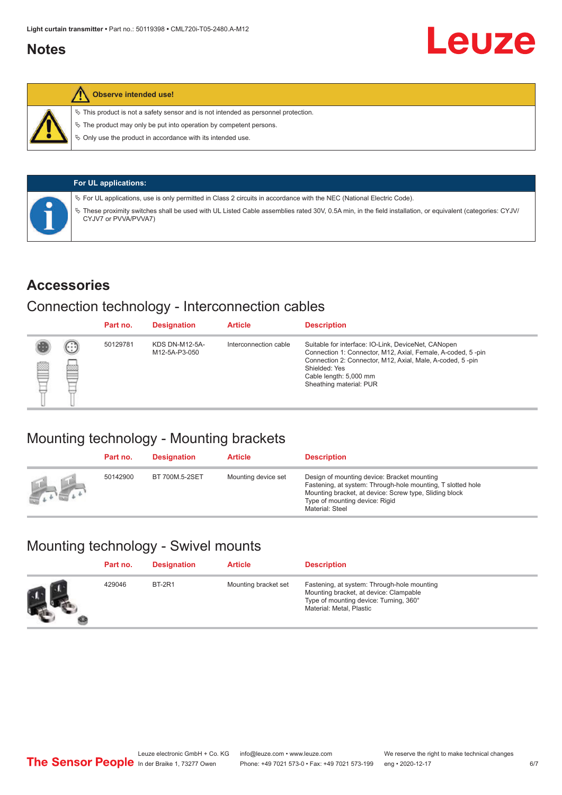#### <span id="page-5-0"></span>**Notes**



#### **Observe intended use!**

 $\%$  This product is not a safety sensor and is not intended as personnel protection.

 $\%$  The product may only be put into operation by competent persons.

 $\%$  Only use the product in accordance with its intended use.

|  | <b>For UL applications:</b>                                                                                                                                                     |
|--|---------------------------------------------------------------------------------------------------------------------------------------------------------------------------------|
|  | $\%$ For UL applications, use is only permitted in Class 2 circuits in accordance with the NEC (National Electric Code).                                                        |
|  | These proximity switches shall be used with UL Listed Cable assemblies rated 30V, 0.5A min, in the field installation, or equivalent (categories: CYJV/<br>CYJV7 or PVVA/PVVA7) |

#### **Accessories**

### Connection technology - Interconnection cables

|   |        | Part no. | <b>Designation</b>                     | <b>Article</b>        | <b>Description</b>                                                                                                                                                                                                                                    |
|---|--------|----------|----------------------------------------|-----------------------|-------------------------------------------------------------------------------------------------------------------------------------------------------------------------------------------------------------------------------------------------------|
| Ø | ⊙<br>œ | 50129781 | <b>KDS DN-M12-5A-</b><br>M12-5A-P3-050 | Interconnection cable | Suitable for interface: IO-Link, DeviceNet, CANopen<br>Connection 1: Connector, M12, Axial, Female, A-coded, 5-pin<br>Connection 2: Connector, M12, Axial, Male, A-coded, 5-pin<br>Shielded: Yes<br>Cable length: 5,000 mm<br>Sheathing material: PUR |

### Mounting technology - Mounting brackets

|               | Part no. | <b>Designation</b> | <b>Article</b>      | <b>Description</b>                                                                                                                                                                                                        |
|---------------|----------|--------------------|---------------------|---------------------------------------------------------------------------------------------------------------------------------------------------------------------------------------------------------------------------|
| <b>Altres</b> | 50142900 | BT 700M.5-2SET     | Mounting device set | Design of mounting device: Bracket mounting<br>Fastening, at system: Through-hole mounting, T slotted hole<br>Mounting bracket, at device: Screw type, Sliding block<br>Type of mounting device: Rigid<br>Material: Steel |

## Mounting technology - Swivel mounts

| Part no. | <b>Designation</b> | <b>Article</b>       | <b>Description</b>                                                                                                                                          |
|----------|--------------------|----------------------|-------------------------------------------------------------------------------------------------------------------------------------------------------------|
| 429046   | <b>BT-2R1</b>      | Mounting bracket set | Fastening, at system: Through-hole mounting<br>Mounting bracket, at device: Clampable<br>Type of mounting device: Turning, 360°<br>Material: Metal, Plastic |

Leuze